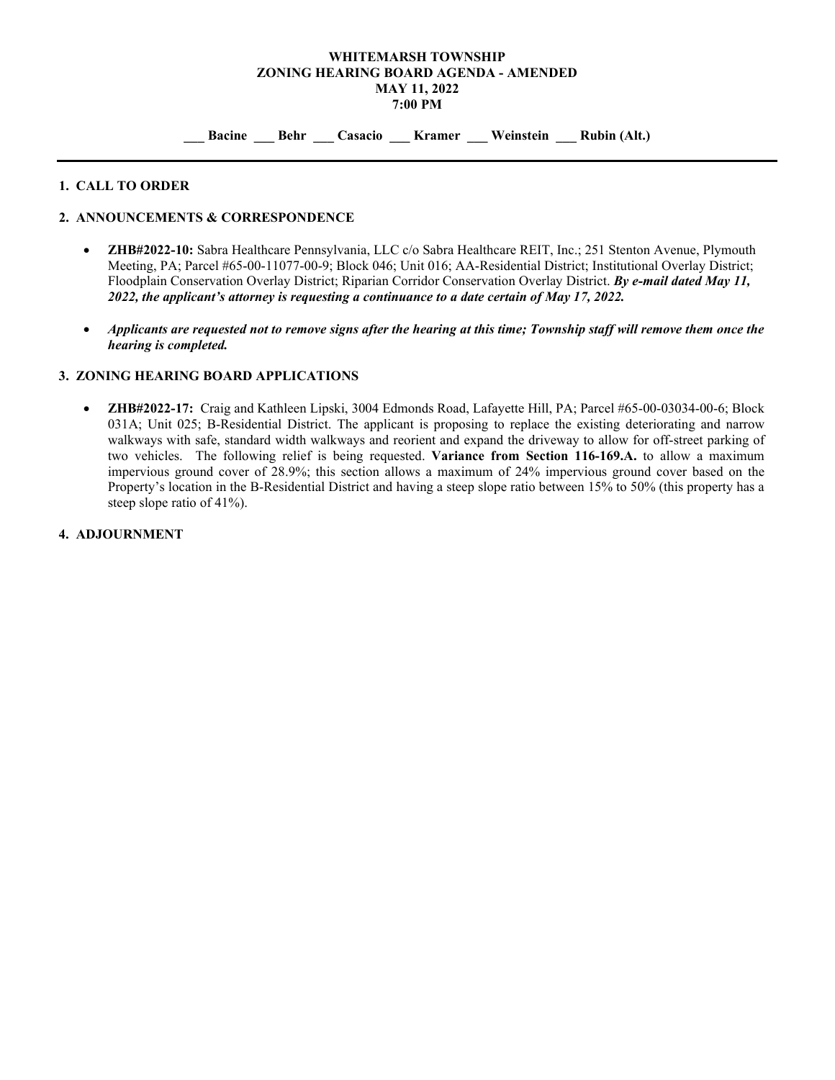#### **WHITEMARSH TOWNSHIP ZONING HEARING BOARD AGENDA - AMENDED MAY 11, 2022 7:00 PM**

Bacine Behr Casacio Kramer Weinstein Rubin (Alt.)

#### **1. CALL TO ORDER**

#### **2. ANNOUNCEMENTS & CORRESPONDENCE**

- **ZHB#2022-10:** Sabra Healthcare Pennsylvania, LLC c/o Sabra Healthcare REIT, Inc.; 251 Stenton Avenue, Plymouth Meeting, PA; Parcel #65-00-11077-00-9; Block 046; Unit 016; AA-Residential District; Institutional Overlay District; Floodplain Conservation Overlay District; Riparian Corridor Conservation Overlay District. *By e-mail dated May 11, 2022, the applicant's attorney is requesting a continuance to a date certain of May 17, 2022.*
- *Applicants are requested not to remove signs after the hearing at this time; Township staff will remove them once the hearing is completed.*

### **3. ZONING HEARING BOARD APPLICATIONS**

• **ZHB#2022-17:** Craig and Kathleen Lipski, 3004 Edmonds Road, Lafayette Hill, PA; Parcel #65-00-03034-00-6; Block 031A; Unit 025; B-Residential District. The applicant is proposing to replace the existing deteriorating and narrow walkways with safe, standard width walkways and reorient and expand the driveway to allow for off-street parking of two vehicles. The following relief is being requested. **Variance from Section 116-169.A.** to allow a maximum impervious ground cover of 28.9%; this section allows a maximum of 24% impervious ground cover based on the Property's location in the B-Residential District and having a steep slope ratio between 15% to 50% (this property has a steep slope ratio of 41%).

#### **4. ADJOURNMENT**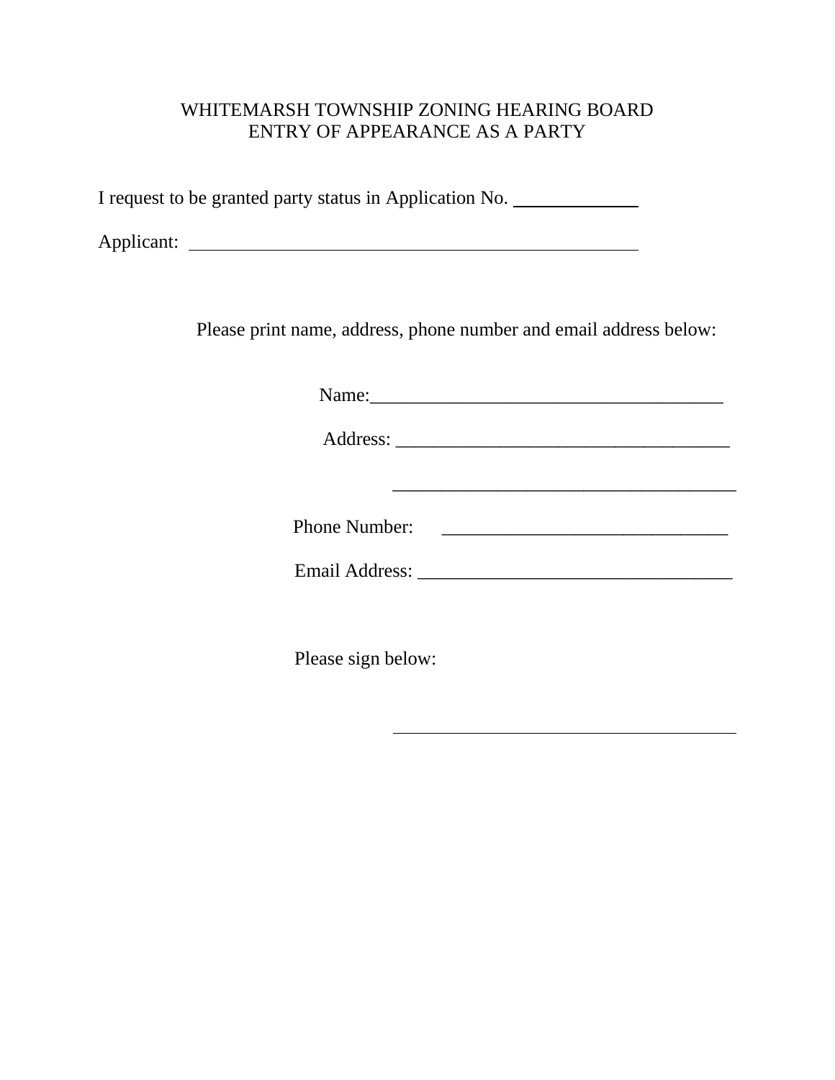## WHITEMARSH TOWNSHIP ZONING HEARING BOARD ENTRY OF APPEARANCE AS A PARTY

I request to be granted party status in Application No.

Applicant:

Please print name, address, phone number and email address below:

 Name:\_\_\_\_\_\_\_\_\_\_\_\_\_\_\_\_\_\_\_\_\_\_\_\_\_\_\_\_\_\_\_\_\_\_\_\_\_ Address: Phone Number: \_\_\_\_\_\_\_\_\_\_\_\_\_\_\_\_\_\_\_\_\_\_\_\_\_\_\_\_\_\_ Email Address: \_\_\_\_\_\_\_\_\_\_\_\_\_\_\_\_\_\_\_\_\_\_\_\_\_\_\_\_\_\_\_\_\_ Please sign below: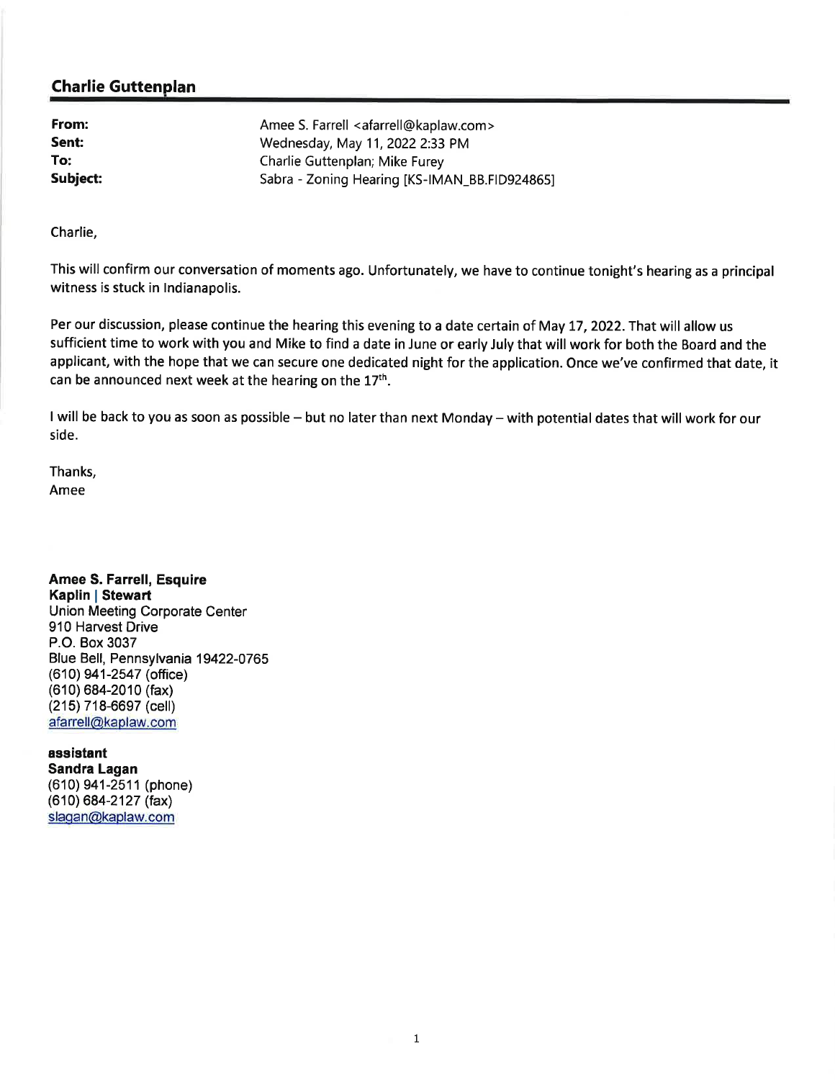## **Charlie Guttenplan**

From: Amee S. Farrell <afarrell@kaplaw.com> Sent: Wednesday, May 11, 2022 2:33 PM To: Charlie Guttenplan; Mike Furey Subject: Sabra - Zoning Hearing [KS-IMAN\_BB.FID924865]

Charlie,

This will confirm our conversation of moments ago. Unfortunately, we have to continue tonight's hearing as a principal witness is stuck in Indianapolis.

Per our discussion, please continue the hearing this evening to a date certain of May 17, 2022. That will allow us sufficient time to work with you and Mike to find a date in June or early July that will work for both the Board and the applicant, with the hope that we can secure one dedicated night for the application. Once we've confirmed that date, it can be announced next week at the hearing on the 17<sup>th</sup>.

I will be back to you as soon as possible – but no later than next Monday – with potential dates that will work for our side.

Thanks, Amee

Amee S. Farrell, Esquire Kaplin | Stewart **Union Meeting Corporate Center** 910 Harvest Drive P.O. Box 3037 Blue Bell, Pennsylvania 19422-0765 (610) 941-2547 (office) (610) 684-2010 (fax) (215) 718-6697 (cell) afarrell@kaplaw.com

**assistant Sandra Lagan** (610) 941-2511 (phone) (610) 684-2127 (fax) slagan@kaplaw.com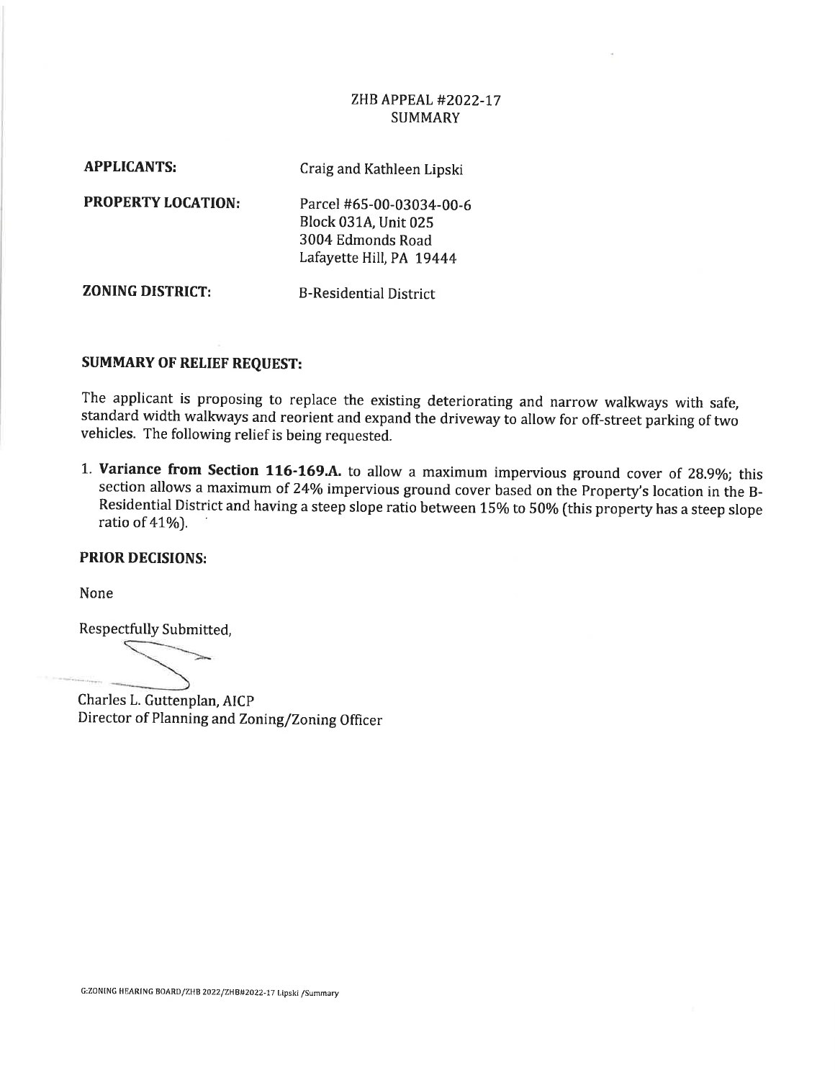## ZHB APPEAL #2022-17 **SUMMARY**

| <b>APPLICANTS:</b>        | Craig and Kathleen Lipski                                                                                |  |  |
|---------------------------|----------------------------------------------------------------------------------------------------------|--|--|
| <b>PROPERTY LOCATION:</b> | Parcel #65-00-03034-00-6<br><b>Block 031A, Unit 025</b><br>3004 Edmonds Road<br>Lafayette Hill, PA 19444 |  |  |
| <b>ZONING DISTRICT:</b>   | <b>B-Residential District</b>                                                                            |  |  |

### **SUMMARY OF RELIEF REQUEST:**

The applicant is proposing to replace the existing deteriorating and narrow walkways with safe, standard width walkways and reorient and expand the driveway to allow for off-street parking of two vehicles. The following relief is being requested.

1. Variance from Section 116-169.A. to allow a maximum impervious ground cover of 28.9%; this section allows a maximum of 24% impervious ground cover based on the Property's location in the B-Residential District and having a steep slope ratio between 15% to 50% (this property has a steep slope ratio of 41%).

### **PRIOR DECISIONS:**

None

Respectfully Submitted,

Charles L. Guttenplan, AICP Director of Planning and Zoning/Zoning Officer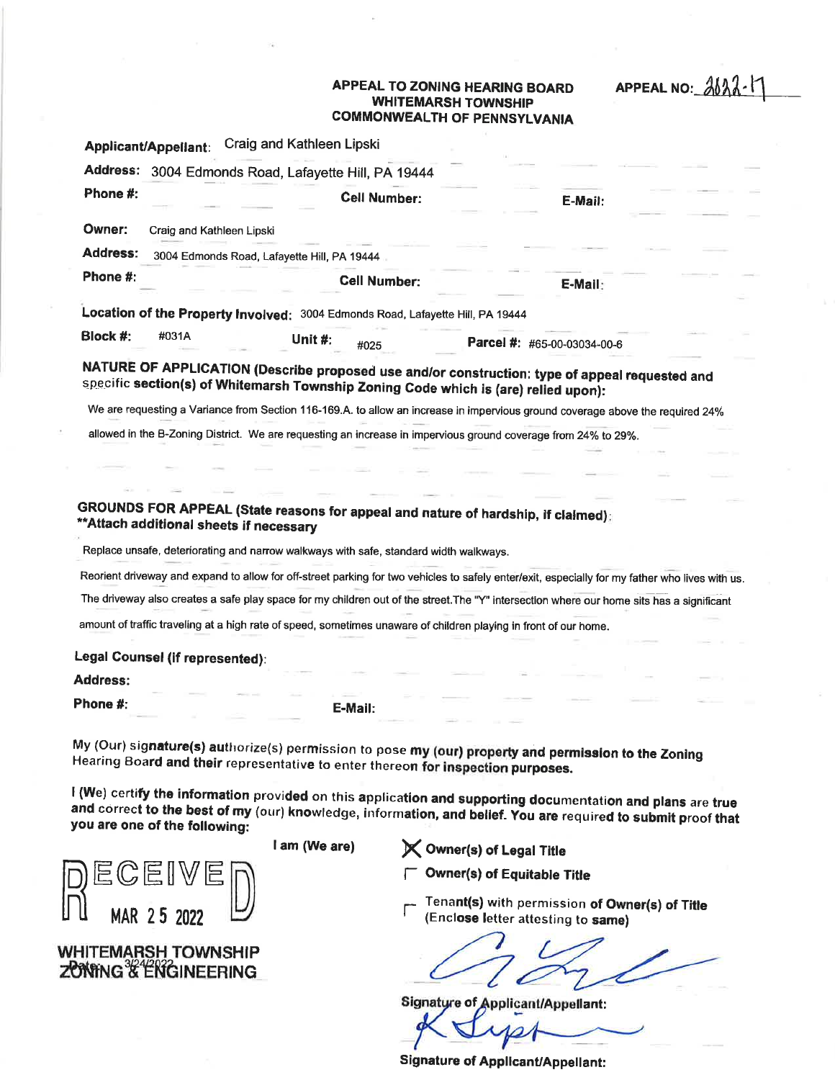# **APPEAL TO ZONING HEARING BOARD WHITEMARSH TOWNSHIP**

APPEAL NO:  $3622 - 1$ 

**COMMONWEALTH OF PENNSYLVANIA** Craig and Kathleen Lipski **Applicant/Appellant:** Address: 3004 Edmonds Road, Lafayette Hill, PA 19444 Phone #: **Cell Number:** E-Mail: Owner: Craig and Kathleen Lipski **Address:** 3004 Edmonds Road, Lafayette Hill, PA 19444 Phone #: **Cell Number:** E-Mail: Location of the Property Involved: 3004 Edmonds Road, Lafayette Hill, PA 19444 Block #: #031A Unit #: Parcel #: #65-00-03034-00-6 #025 NATURE OF APPLICATION (Describe proposed use and/or construction: type of appeal requested and specific section(s) of Whitemarsh Township Zoning Code which is (are) relied upon): We are requesting a Variance from Section 116-169.A. to allow an increase in impervious ground coverage above the required 24% allowed in the B-Zoning District. We are requesting an increase in impervious ground coverage from 24% to 29%. GROUNDS FOR APPEAL (State reasons for appeal and nature of hardship, if claimed): \*\* Attach additional sheets if necessary Replace unsafe, deteriorating and narrow walkways with safe, standard width walkways. Reorient driveway and expand to allow for off-street parking for two vehicles to safely enter/exit, especially for my father who lives with us. The driveway also creates a safe play space for my children out of the street. The "Y" intersection where our home sits has a significant amount of traffic traveling at a high rate of speed, sometimes unaware of children playing in front of our home. Legal Counsel (if represented): Address: Phone #: E-Mail: My (Our) signature(s) authorize(s) permission to pose my (our) property and permission to the Zoning Hearing Board and their representative to enter thereon for inspection purposes. I (We) certify the information provided on this application and supporting documentation and plans are true

and correct to the best of my (our) knowledge, information, and belief. You are required to submit proof that you are one of the following: I am (We are)

MAR 25 2022

**WHITEMARSH TOWNSHIP ZONING & ENGINEERING** 

**X** Owner(s) of Legal Title

Owner(s) of Equitable Title

Tenant(s) with permission of Owner(s) of Title (Enclose letter attesting to same)

**Signature of Applicant/Appellant:** 

**Signature of Applicant/Appellant:**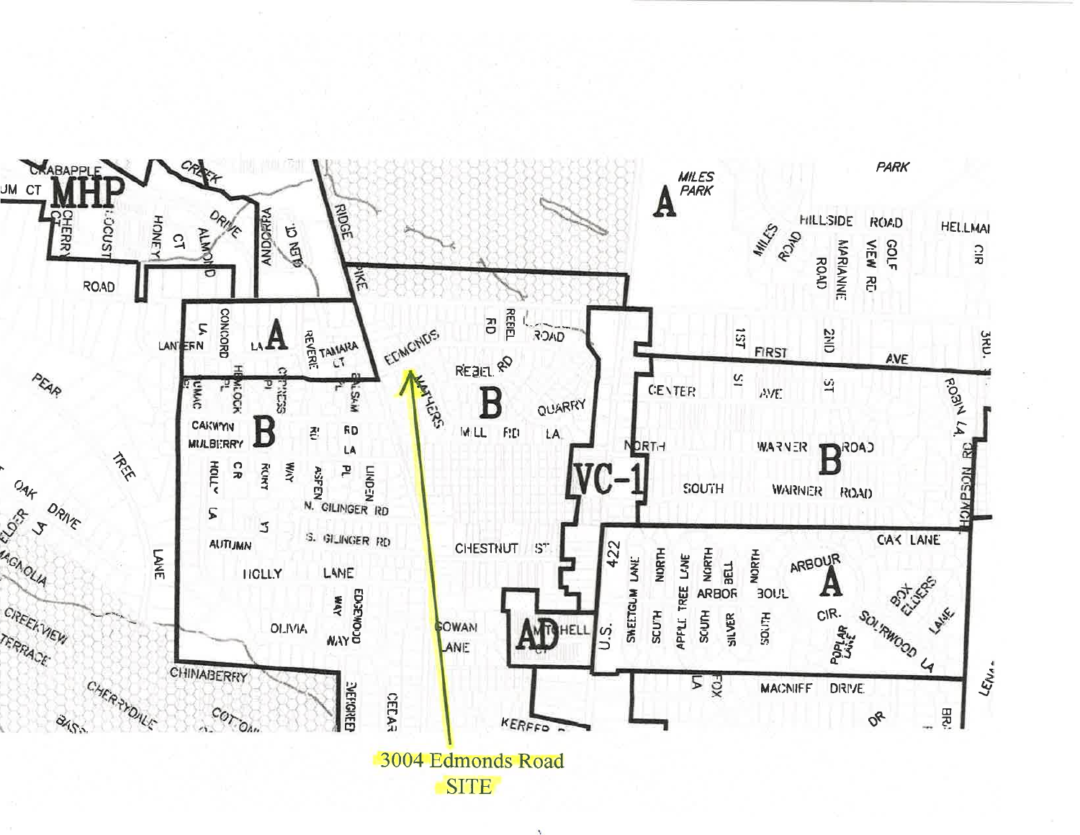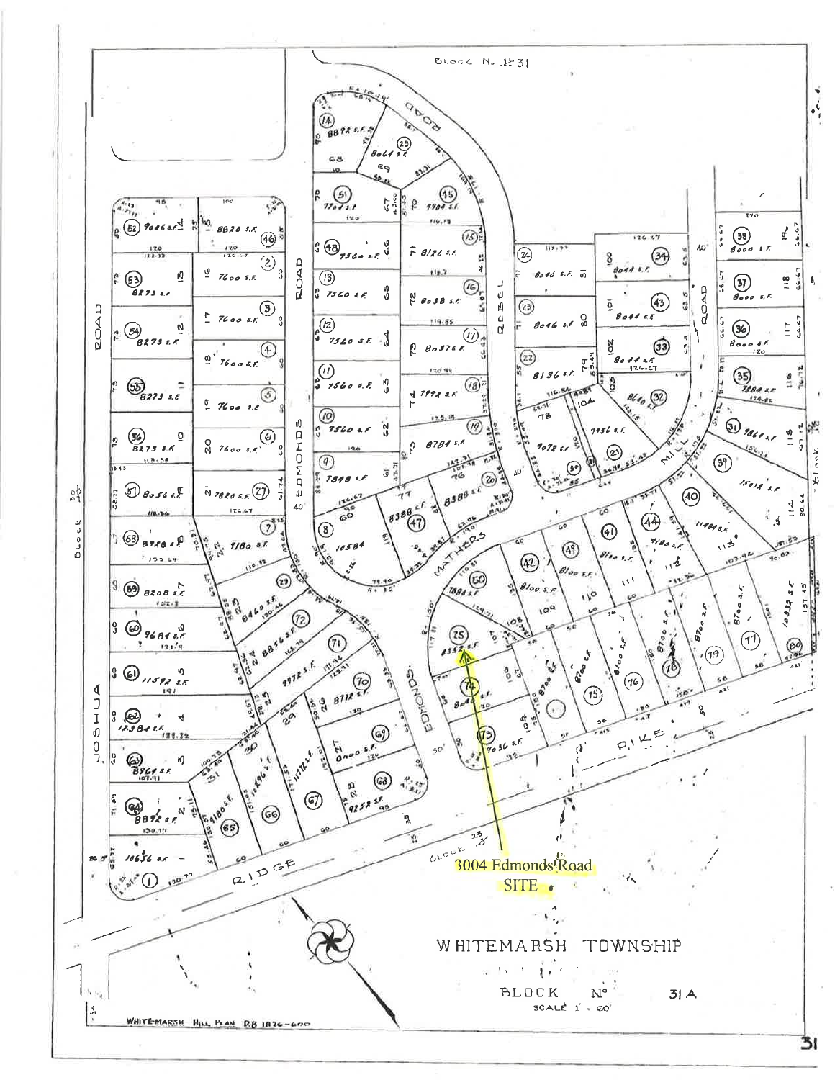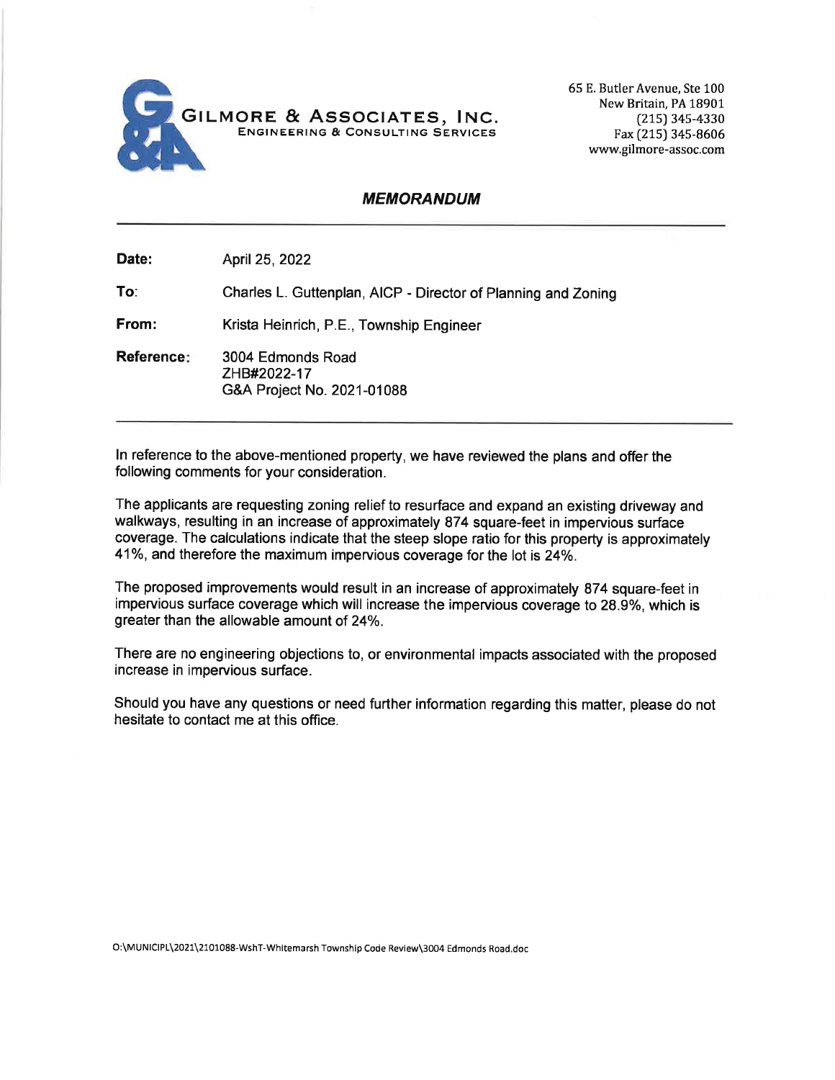

65 E. Butler Avenue, Ste 100 New Britain, PA 18901  $(215)$  345-4330 Fax (215) 345-8606 www.gilmore-assoc.com

## **MEMORANDUM**

Date: April 25, 2022

To: Charles L. Guttenplan, AICP - Director of Planning and Zoning

From: Krista Heinrich, P.E., Township Engineer

Reference: 3004 Edmonds Road ZHB#2022-17 G&A Project No. 2021-01088

In reference to the above-mentioned property, we have reviewed the plans and offer the following comments for your consideration.

The applicants are requesting zoning relief to resurface and expand an existing driveway and walkways, resulting in an increase of approximately 874 square-feet in impervious surface coverage. The calculations indicate that the steep slope ratio for this property is approximately 41%, and therefore the maximum impervious coverage for the lot is 24%.

The proposed improvements would result in an increase of approximately 874 square-feet in impervious surface coverage which will increase the impervious coverage to 28.9%, which is greater than the allowable amount of 24%.

There are no engineering objections to, or environmental impacts associated with the proposed increase in impervious surface.

Should you have any questions or need further information regarding this matter, please do not hesitate to contact me at this office.

O:\MUNICIPL\2021\2101088-WshT-Whitemarsh Township Code Review\3004 Edmonds Road.doc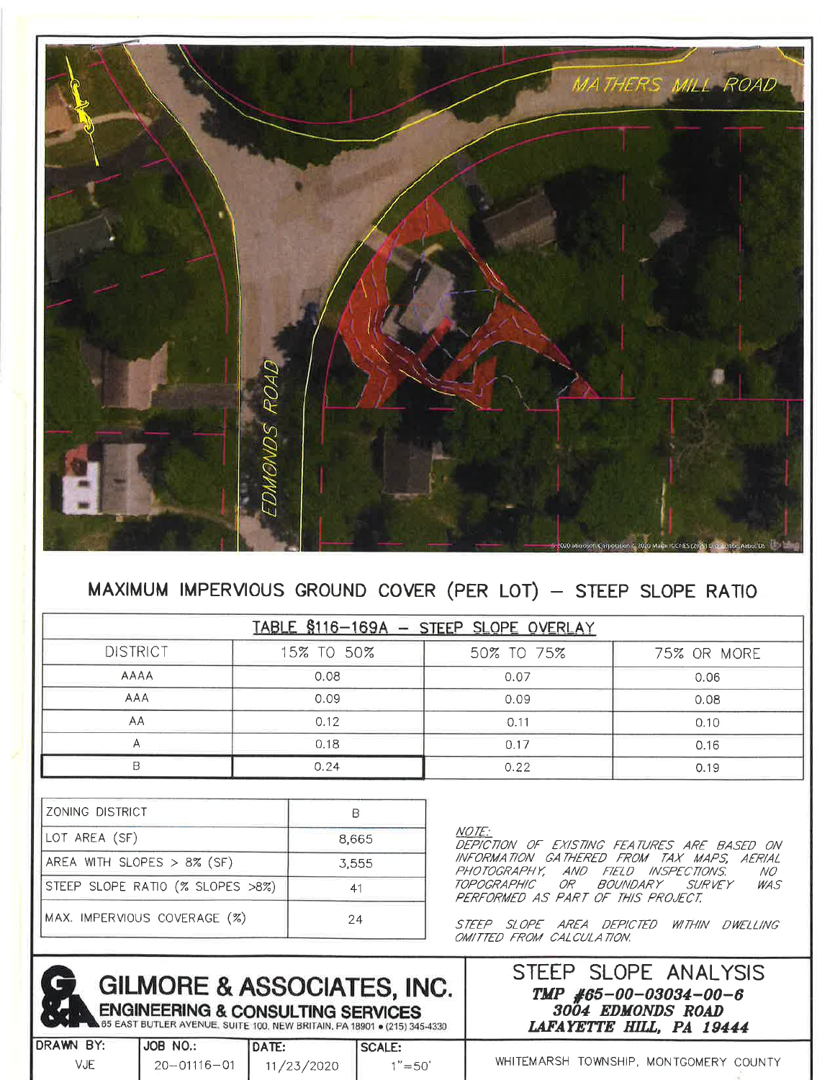

## MAXIMUM IMPERVIOUS GROUND COVER (PER LOT) - STEEP SLOPE RATIO

| TABLE \$116-169A - STEEP SLOPE OVERLAY |            |            |             |  |  |
|----------------------------------------|------------|------------|-------------|--|--|
| <b>DISTRICT</b>                        | 15% TO 50% | 50% TO 75% | 75% OR MORE |  |  |
| AAAA                                   | 0.08       | 0.07       | 0.06        |  |  |
| AAA                                    | 0.09       | 0.09       | 0.08        |  |  |
| AA                                     | 0.12       | 0.11       | 0.10        |  |  |
|                                        | 0.18       | 0.17       | 0.16        |  |  |
|                                        | 0.24       | 0.22       | 0.19        |  |  |

| ZONING DISTRICT                  |       |
|----------------------------------|-------|
| LOT AREA (SF)                    | 8,665 |
| AREA WITH SLOPES > 8% (SF)       | 3,555 |
| STEEP SLOPE RATIO (% SLOPES >8%) | 41    |
| MAX. IMPERVIOUS COVERAGE (%)     | 24    |

NOTE:

DEPICTION OF EXISTING FEATURES ARE BASED ON INFORMATION GATHERED FROM TAX MAPS, AERIAL PHOTOGRAPHY, AND FIELD INSPECTIONS.<br>TOPOGRAPHIC OR BOUNDARY SURVEY  $NO$ **WAS** PERFORMED AS PART OF THIS PROJECT.

STEEP SLOPE AREA DEPICTED WITHIN DWELLING OMITTED FROM CALCULATION.



STEEP SLOPE ANALYSIS TMP  $#65 - 00 - 03034 - 00 - 6$ 3004 EDMONDS ROAD LAFAYETTE HILL, PA 19444

| <b>URAWN BY:</b> | <b>IJOB NO.:</b>  | IDATE:     | <b>ISCALE:</b> |   |
|------------------|-------------------|------------|----------------|---|
|                  | $20 - 01116 - 01$ | 11/23/2020 | $1" = 50'$     | W |

HITEMARSH TOWNSHIP, MONTGOMERY COUNTY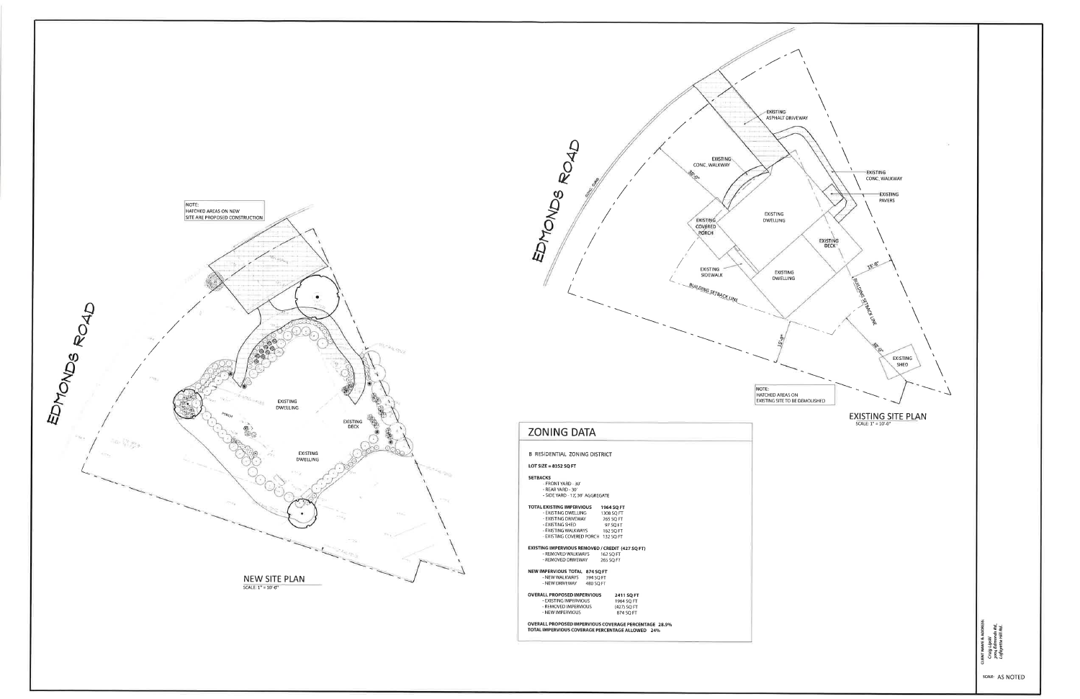